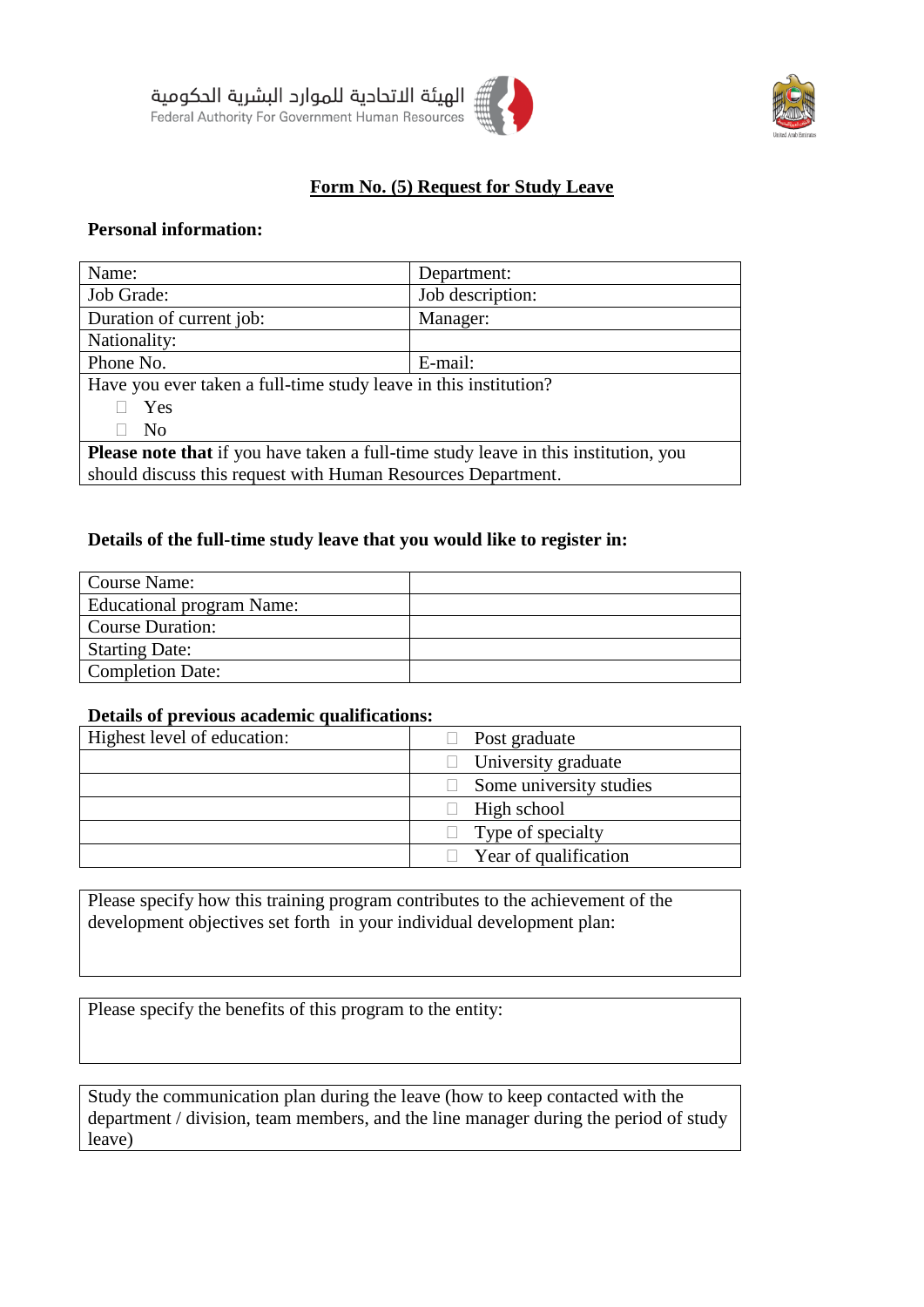



# **Form No. (5) Request for Study Leave**

# **Personal information:**

| Name:                                                                                      | Department:      |  |
|--------------------------------------------------------------------------------------------|------------------|--|
| Job Grade:                                                                                 | Job description: |  |
| Duration of current job:                                                                   | Manager:         |  |
| Nationality:                                                                               |                  |  |
| Phone No.                                                                                  | E-mail:          |  |
| Have you ever taken a full-time study leave in this institution?                           |                  |  |
| Yes                                                                                        |                  |  |
| N <sub>0</sub>                                                                             |                  |  |
| <b>Please note that</b> if you have taken a full-time study leave in this institution, you |                  |  |
| should discuss this request with Human Resources Department.                               |                  |  |

#### **Details of the full-time study leave that you would like to register in:**

| Course Name:              |  |
|---------------------------|--|
| Educational program Name: |  |
| <b>Course Duration:</b>   |  |
| <b>Starting Date:</b>     |  |
| <b>Completion Date:</b>   |  |

#### **Details of previous academic qualifications:**

| Highest level of education: | Post graduate              |
|-----------------------------|----------------------------|
|                             | $\Box$ University graduate |
|                             | Some university studies    |
|                             | $\Box$ High school         |
|                             | $\Box$ Type of specialty   |
|                             | Year of qualification      |

Please specify how this training program contributes to the achievement of the development objectives set forth in your individual development plan:

Please specify the benefits of this program to the entity:

Study the communication plan during the leave (how to keep contacted with the department / division, team members, and the line manager during the period of study leave)